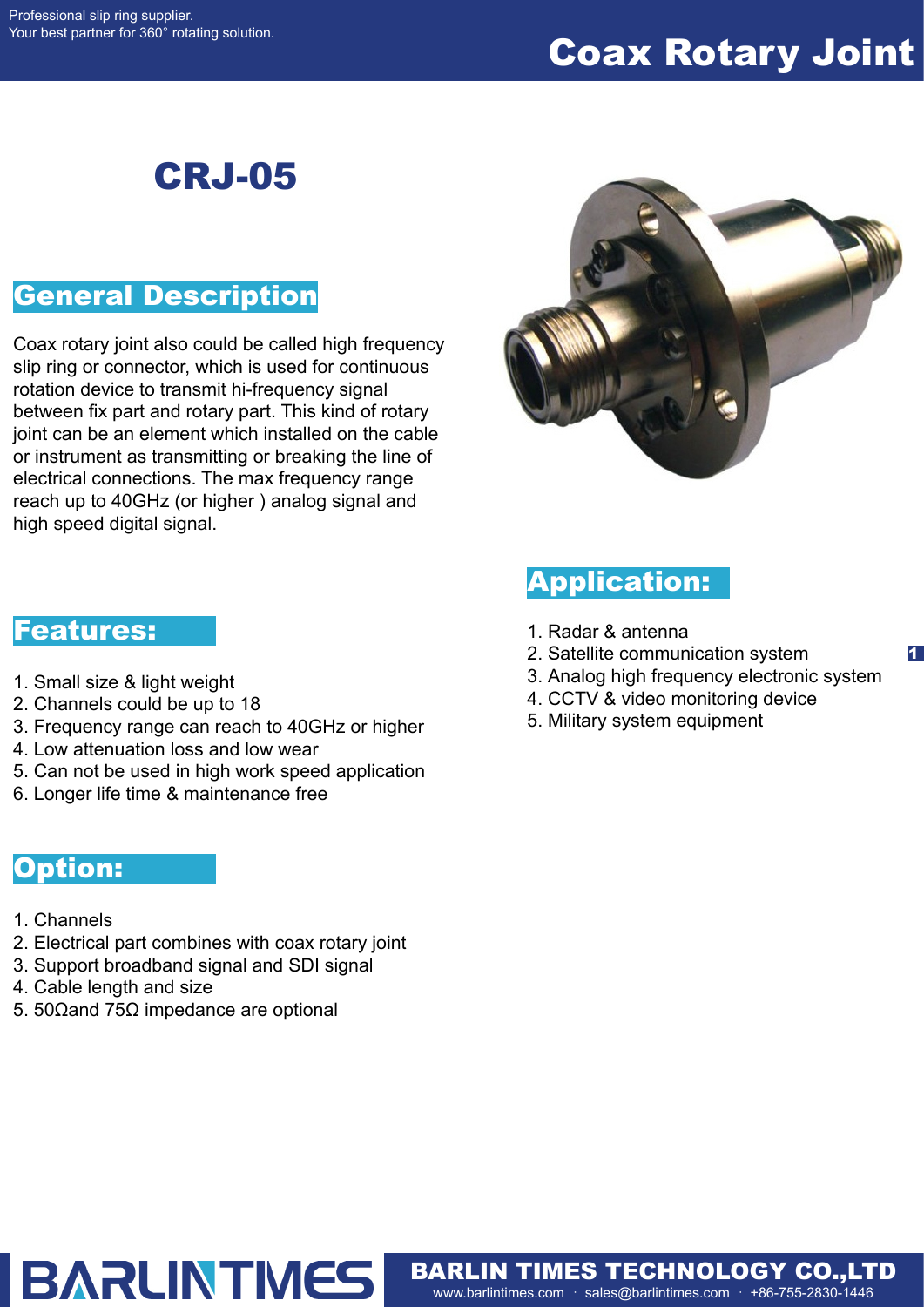# Coax Rotary Joint

## CRJ-05

### General Description

Coax rotary joint also could be called high frequency slip ring or connector, which is used for continuous rotation device to transmit hi-frequency signal between fix part and rotary part. This kind of rotary joint can be an element which installed on the cable or instrument as transmitting or breaking the line of electrical connections. The max frequency range reach up to 40GHz (or higher ) analog signal and high speed digital signal.



### Application:

- 1. Radar & antenna
- 2. Satellite communication system
- 3. Analog high frequency electronic system

1

- 4. CCTV & video monitoring device
- 5. Military system equipment

www.barlintimes.com · sales@barlintimes.com · +86-755-2830-1446 BARLIN TIMES TECHNOLOGY CO.,LTD

#### Features:

- 1. Small size & light weight
- 2. Channels could be up to 18
- 3. Frequency range can reach to 40GHz or higher
- 4. Low attenuation loss and low wear
- 5. Can not be used in high work speed application
- 6. Longer life time & maintenance free

#### Option:

- 1. Channels
- 2. Electrical part combines with coax rotary joint
- 3. Support broadband signal and SDI signal

**BARLINTMES** 

- 4. Cable length and size
- 5. 50Ωand 75Ω impedance are optional